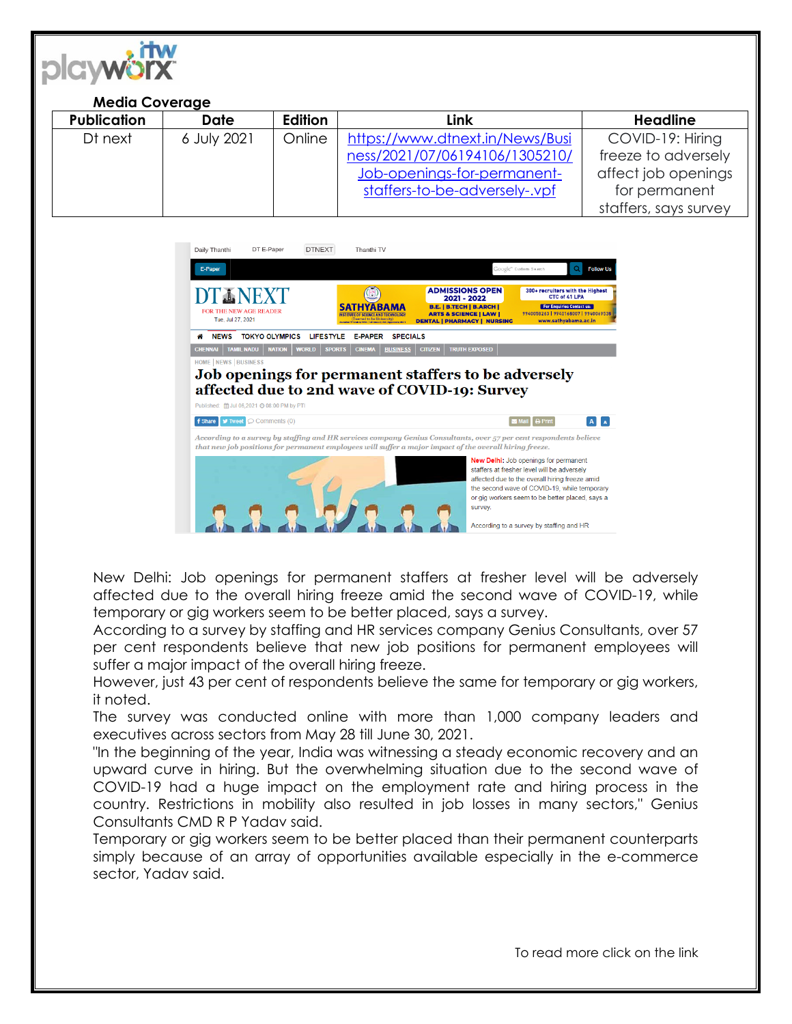

## **Media Coverage**

| <b>Publication</b> | <b>Date</b> | <b>Edition</b> | Link                            | <b>Headline</b>       |
|--------------------|-------------|----------------|---------------------------------|-----------------------|
| Dt next            | 6 July 2021 | Online         | https://www.dtnext.in/News/Busi | COVID-19: Hiring      |
|                    |             |                | ness/2021/07/06194106/1305210/  | freeze to adversely   |
|                    |             |                | Job-openings-for-permanent-     | affect job openings   |
|                    |             |                | staffers-to-be-adversely-.vpf   | for permanent         |
|                    |             |                |                                 | staffers, says survey |



New Delhi: Job openings for permanent staffers at fresher level will be adversely affected due to the overall hiring freeze amid the second wave of COVID-19, while temporary or gig workers seem to be better placed, says a survey.

According to a survey by staffing and HR services company Genius Consultants, over 57 per cent respondents believe that new job positions for permanent employees will suffer a major impact of the overall hiring freeze.

However, just 43 per cent of respondents believe the same for temporary or gig workers, it noted.

The survey was conducted online with more than 1,000 company leaders and executives across sectors from May 28 till June 30, 2021.

"In the beginning of the year, India was witnessing a steady economic recovery and an upward curve in hiring. But the overwhelming situation due to the second wave of COVID-19 had a huge impact on the employment rate and hiring process in the country. Restrictions in mobility also resulted in job losses in many sectors," Genius Consultants CMD R P Yadav said.

Temporary or gig workers seem to be better placed than their permanent counterparts simply because of an array of opportunities available especially in the e-commerce sector, Yadav said.

To read more click on the link